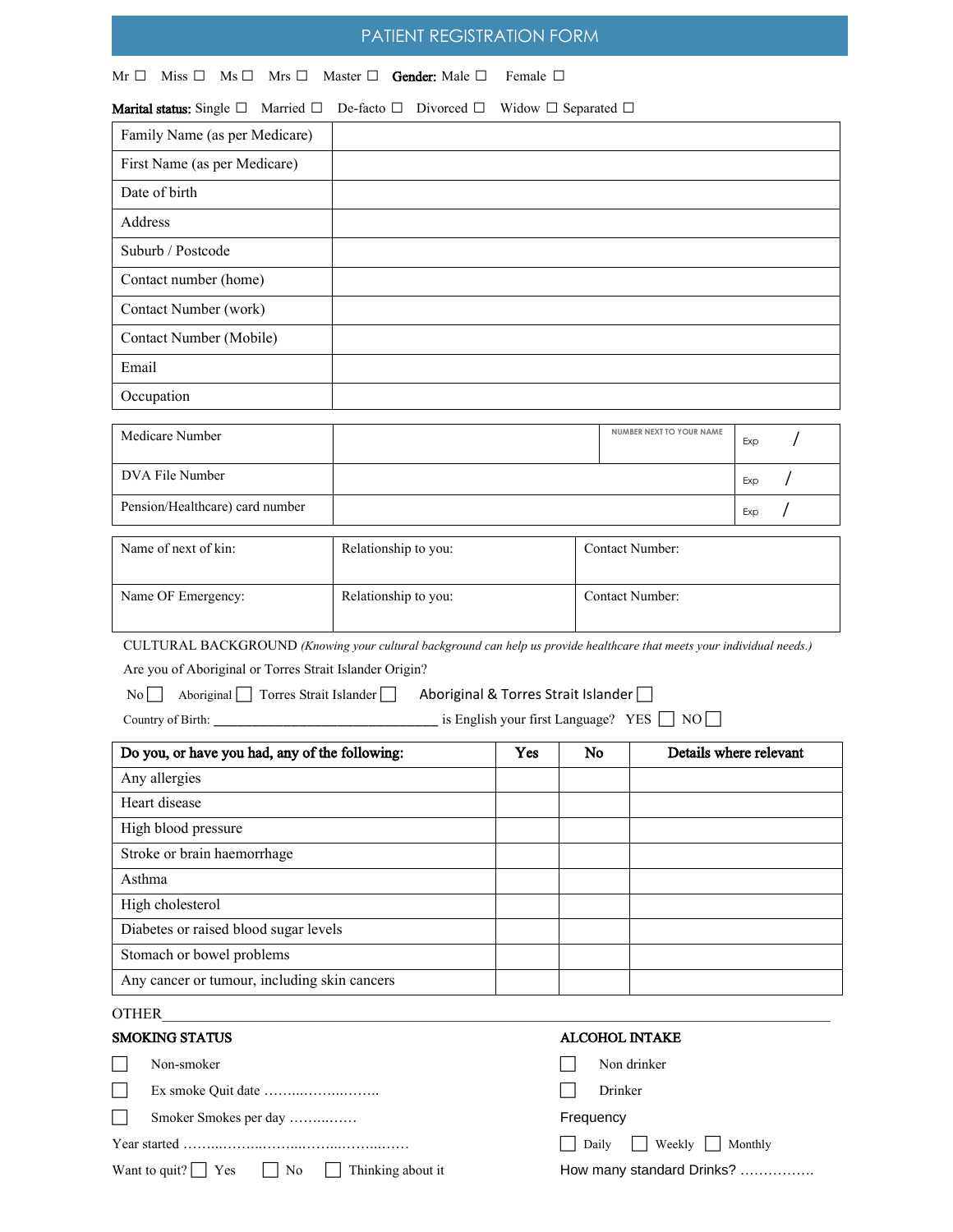# PATIENT REGISTRATION FORM

|  |  | $Mr \Box$ Miss $\Box$ Ms $\Box$ Mrs $\Box$ Master $\Box$ Gender: Male $\Box$ Female $\Box$ |  |
|--|--|--------------------------------------------------------------------------------------------|--|

| <b>Marital status:</b> Single $\Box$ Married $\Box$ De-facto $\Box$ Divorced $\Box$ Widow $\Box$ Separated $\Box$ |  |  |
|-------------------------------------------------------------------------------------------------------------------|--|--|

| Family Name (as per Medicare)                                                                                           |                                     |     |    |                          |                        |  |
|-------------------------------------------------------------------------------------------------------------------------|-------------------------------------|-----|----|--------------------------|------------------------|--|
| First Name (as per Medicare)                                                                                            |                                     |     |    |                          |                        |  |
| Date of birth                                                                                                           |                                     |     |    |                          |                        |  |
| Address                                                                                                                 |                                     |     |    |                          |                        |  |
| Suburb / Postcode                                                                                                       |                                     |     |    |                          |                        |  |
| Contact number (home)                                                                                                   |                                     |     |    |                          |                        |  |
| Contact Number (work)                                                                                                   |                                     |     |    |                          |                        |  |
| Contact Number (Mobile)                                                                                                 |                                     |     |    |                          |                        |  |
| Email                                                                                                                   |                                     |     |    |                          |                        |  |
| Occupation                                                                                                              |                                     |     |    |                          |                        |  |
|                                                                                                                         |                                     |     |    | NUMBER NEXT TO YOUR NAME |                        |  |
| Medicare Number                                                                                                         |                                     |     |    |                          | Exp                    |  |
| DVA File Number                                                                                                         |                                     |     |    |                          | Exp                    |  |
| Pension/Healthcare) card number                                                                                         |                                     |     |    |                          | Exp                    |  |
| Name of next of kin:                                                                                                    | Relationship to you:                |     |    | Contact Number:          |                        |  |
| Name OF Emergency:                                                                                                      | Relationship to you:                |     |    | Contact Number:          |                        |  |
| CULTURAL BACKGROUND (Knowing your cultural background can help us provide healthcare that meets your individual needs.) |                                     |     |    |                          |                        |  |
| Are you of Aboriginal or Torres Strait Islander Origin?                                                                 |                                     |     |    |                          |                        |  |
| Aboriginal Torres Strait Islander<br>$\vert$ No $\vert$ $\vert$                                                         | Aboriginal & Torres Strait Islander |     |    |                          |                        |  |
| Country of Birth: <u>______________________</u> is English your first Language? YES □ NO                                |                                     |     |    |                          |                        |  |
| Do you, or have you had, any of the following:                                                                          |                                     | Yes | No |                          | Details where relevant |  |
| Any allergies                                                                                                           |                                     |     |    |                          |                        |  |
| Heart disease                                                                                                           |                                     |     |    |                          |                        |  |
| High blood pressure                                                                                                     |                                     |     |    |                          |                        |  |
| Stroke or brain haemorrhage                                                                                             |                                     |     |    |                          |                        |  |
| Asthma                                                                                                                  |                                     |     |    |                          |                        |  |
| High cholesterol                                                                                                        |                                     |     |    |                          |                        |  |
| Diabetes or raised blood sugar levels                                                                                   |                                     |     |    |                          |                        |  |
| Stomach or bowel problems                                                                                               |                                     |     |    |                          |                        |  |
| Any cancer or tumour, including skin cancers                                                                            |                                     |     |    |                          |                        |  |
| <b>OTHER</b>                                                                                                            |                                     |     |    |                          |                        |  |
| <b>SMOKING STATUS</b>                                                                                                   |                                     |     |    | ALCOHOL INTAKE           |                        |  |

|  | Non-smoker                                                                |  | Non drinker                 |
|--|---------------------------------------------------------------------------|--|-----------------------------|
|  |                                                                           |  | Drinker                     |
|  | Smoker Smokes per day                                                     |  | Frequency                   |
|  |                                                                           |  | Weekly     Monthly<br>Daily |
|  | Want to quit? $\vert$ $\vert$ Yes $\vert$ $\vert$ No<br>Thinking about it |  | How many standard Drinks?   |
|  |                                                                           |  |                             |